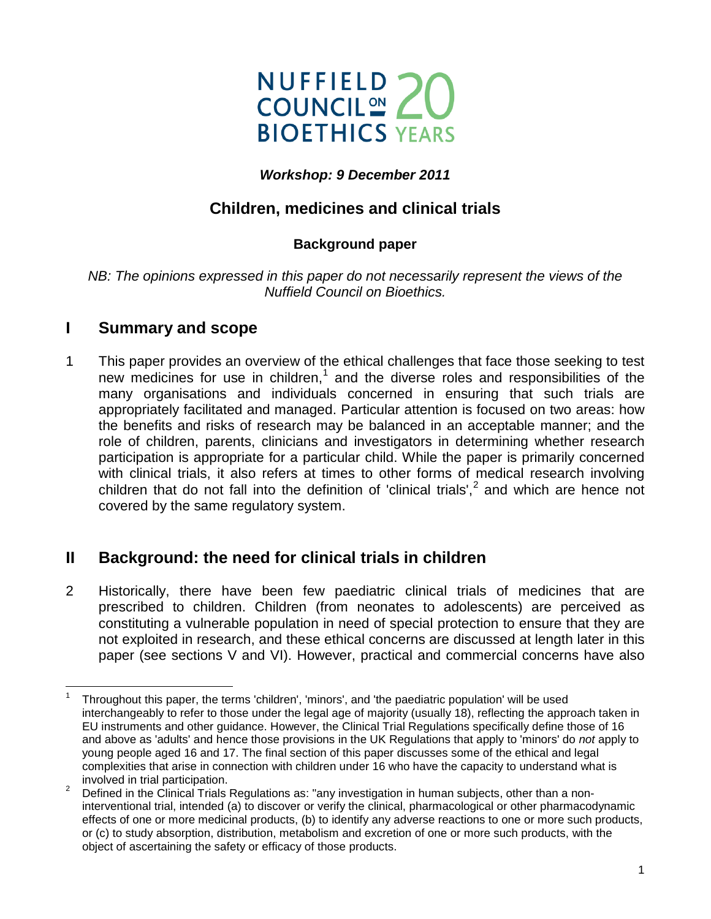

#### *Workshop: 9 December 2011*

# **Children, medicines and clinical trials**

### **Background paper**

*NB: The opinions expressed in this paper do not necessarily represent the views of the Nuffield Council on Bioethics.*

### **I Summary and scope**

1 This paper provides an overview of the ethical challenges that face those seeking to test new medicines for use in children, [1](#page-0-0) and the diverse roles and responsibilities of the many organisations and individuals concerned in ensuring that such trials are appropriately facilitated and managed. Particular attention is focused on two areas: how the benefits and risks of research may be balanced in an acceptable manner; and the role of children, parents, clinicians and investigators in determining whether research participation is appropriate for a particular child. While the paper is primarily concerned with clinical trials, it also refers at times to other forms of medical research involving children that do not fall into the definition of 'clinical trials',<sup>[2](#page-0-1)</sup> and which are hence not covered by the same regulatory system.

## **II Background: the need for clinical trials in children**

<span id="page-0-2"></span>2 Historically, there have been few paediatric clinical trials of medicines that are prescribed to children. Children (from neonates to adolescents) are perceived as constituting a vulnerable population in need of special protection to ensure that they are not exploited in research, and these ethical concerns are discussed at length later in this paper (see sections V and VI). However, practical and commercial concerns have also

<span id="page-0-0"></span> $\overline{a}$ <sup>1</sup> Throughout this paper, the terms 'children', 'minors', and 'the paediatric population' will be used interchangeably to refer to those under the legal age of majority (usually 18), reflecting the approach taken in EU instruments and other guidance. However, the Clinical Trial Regulations specifically define those of 16 and above as 'adults' and hence those provisions in the UK Regulations that apply to 'minors' do *not* apply to young people aged 16 and 17. The final section of this paper discusses some of the ethical and legal complexities that arise in connection with children under 16 who have the capacity to understand what is involved in trial participation.<br><sup>2</sup> Defined in the Clinical Trials Regulations as: "any investigation in human subjects, other than a non-

<span id="page-0-1"></span>interventional trial, intended (a) to discover or verify the clinical, pharmacological or other pharmacodynamic effects of one or more medicinal products, (b) to identify any adverse reactions to one or more such products, or (c) to study absorption, distribution, metabolism and excretion of one or more such products, with the object of ascertaining the safety or efficacy of those products.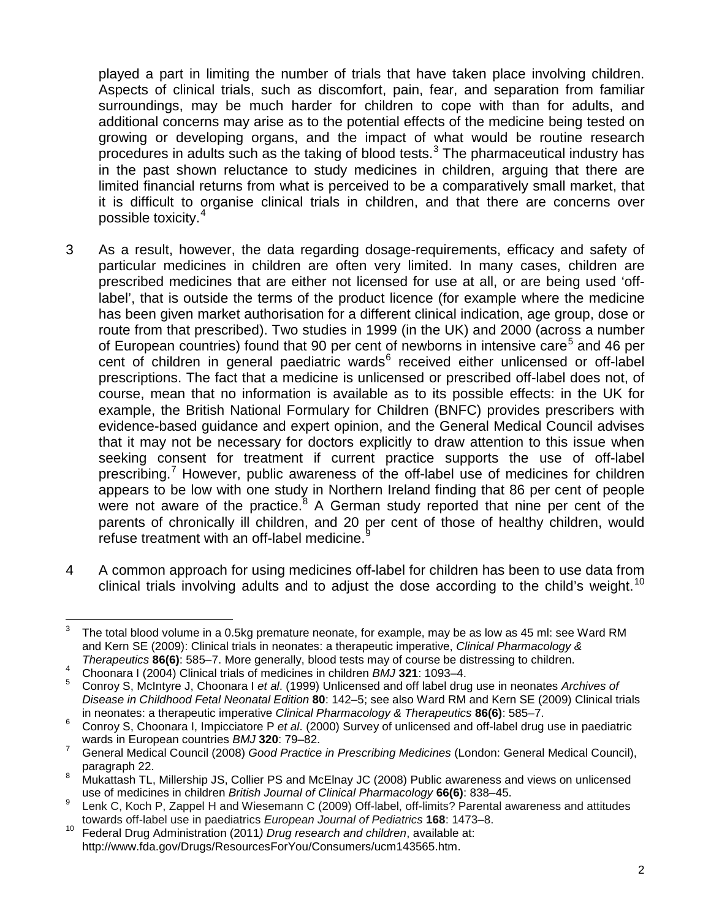played a part in limiting the number of trials that have taken place involving children. Aspects of clinical trials, such as discomfort, pain, fear, and separation from familiar surroundings, may be much harder for children to cope with than for adults, and additional concerns may arise as to the potential effects of the medicine being tested on growing or developing organs, and the impact of what would be routine research procedures in adults such as the taking of blood tests. $3$  The pharmaceutical industry has in the past shown reluctance to study medicines in children, arguing that there are limited financial returns from what is perceived to be a comparatively small market, that it is difficult to organise clinical trials in children, and that there are concerns over possible toxicity.[4](#page-1-1)

- 3 As a result, however, the data regarding dosage-requirements, efficacy and safety of particular medicines in children are often very limited. In many cases, children are prescribed medicines that are either not licensed for use at all, or are being used 'offlabel', that is outside the terms of the product licence (for example where the medicine has been given market authorisation for a different clinical indication, age group, dose or route from that prescribed). Two studies in 1999 (in the UK) and 2000 (across a number of European countries) found that 90 per cent of newborns in intensive care<sup>[5](#page-1-2)</sup> and 46 per cent of children in general paediatric wards<sup>[6](#page-1-3)</sup> received either unlicensed or off-label prescriptions. The fact that a medicine is unlicensed or prescribed off-label does not, of course, mean that no information is available as to its possible effects: in the UK for example, the British National Formulary for Children (BNFC) provides prescribers with evidence-based guidance and expert opinion, and the General Medical Council advises that it may not be necessary for doctors explicitly to draw attention to this issue when seeking consent for treatment if current practice supports the use of off-label prescribing.<sup>[7](#page-1-4)</sup> However, public awareness of the off-label use of medicines for children appears to be low with one study in Northern Ireland finding that 86 per cent of people were not aware of the practice.<sup>[8](#page-1-5)</sup> A German study reported that nine per cent of the parents of chronically ill children, and 20 per cent of those of healthy children, would refuse treatment with an off-label medicine.
- 4 A common approach for using medicines off-label for children has been to use data from clinical trials involving adults and to adjust the dose according to the child's weight.<sup>[10](#page-1-7)</sup>

<span id="page-1-0"></span> $\overline{3}$ The total blood volume in a 0.5kg premature neonate, for example, may be as low as 45 ml: see Ward RM and Kern SE (2009): Clinical trials in neonates: a therapeutic imperative, *Clinical Pharmacology &* 

<span id="page-1-1"></span>*Therapeutics* **86(6)**: 585–7. More generally, blood tests may of course be distressing to children.<br><sup>4</sup> Choonara I (2004) Clinical trials of medicines in children *BMJ* **321**: 1093–4.

<span id="page-1-2"></span><sup>5</sup> Conroy S, McIntyre J, Choonara I *et al*. (1999) Unlicensed and off label drug use in neonates *Archives of Disease in Childhood Fetal Neonatal Edition* **80**: 142–5; see also Ward RM and Kern SE (2009) Clinical trials in neonates: a therapeutic imperative *Clinical Pharmacology & Therapeutics* **86(6)**: 585–7.

<span id="page-1-3"></span><sup>6</sup> Conroy S, Choonara I, Impicciatore P *et al.* (2000) Survey of unlicensed and off-label drug use in paediatric wards in European countries *BMJ* 320: 79–82.

<span id="page-1-4"></span>Figures in European commits and section of the control of the SAD of the Seneral Medical Council),<br>paragraph 22.<br>paragraph 22.

<span id="page-1-5"></span><sup>8</sup> Mukattash TL, Millership JS, Collier PS and McElnay JC (2008) Public awareness and views on unlicensed use of medicines in children *British Journal of Clinical Pharmacology* **66(6)**: 838–45.

<span id="page-1-6"></span><sup>9</sup> Lenk C, Koch P, Zappel H and Wiesemann C (2009) Off-label, off-limits? Parental awareness and attitudes towards off-label use in paediatrics *European Journal of Pediatrics* **168**: 1473–8.

<span id="page-1-7"></span><sup>10</sup> Federal Drug Administration (2011*) Drug research and children*, available at: http://www.fda.gov/Drugs/ResourcesForYou/Consumers/ucm143565.htm.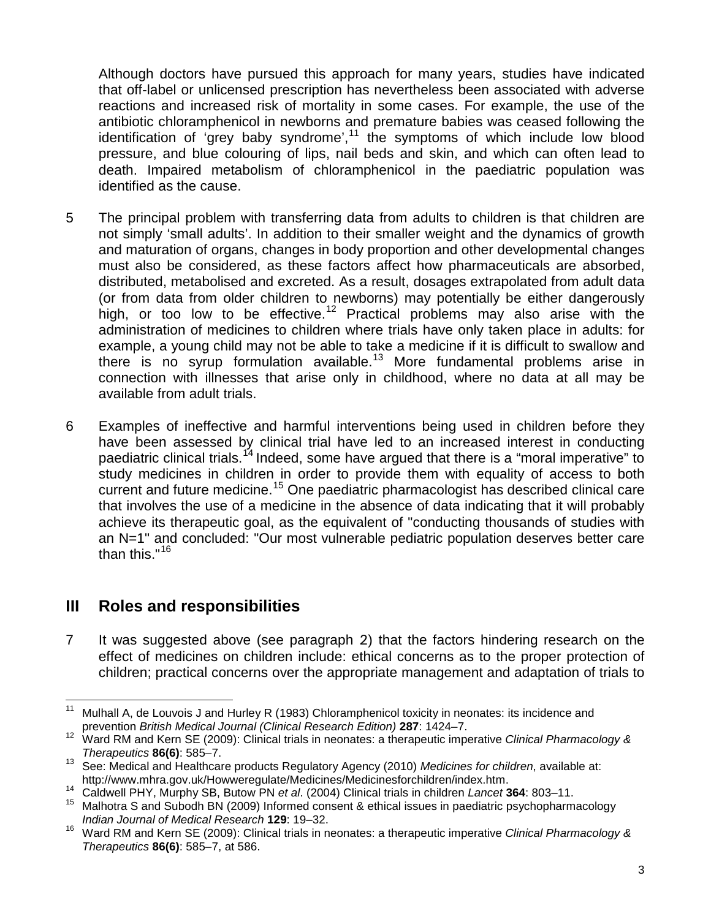Although doctors have pursued this approach for many years, studies have indicated that off-label or unlicensed prescription has nevertheless been associated with adverse reactions and increased risk of mortality in some cases. For example, the use of the antibiotic chloramphenicol in newborns and premature babies was ceased following the identification of 'grey baby syndrome', $11$  the symptoms of which include low blood pressure, and blue colouring of lips, nail beds and skin, and which can often lead to death. Impaired metabolism of chloramphenicol in the paediatric population was identified as the cause.

- 5 The principal problem with transferring data from adults to children is that children are not simply 'small adults'. In addition to their smaller weight and the dynamics of growth and maturation of organs, changes in body proportion and other developmental changes must also be considered, as these factors affect how pharmaceuticals are absorbed, distributed, metabolised and excreted. As a result, dosages extrapolated from adult data (or from data from older children to newborns) may potentially be either dangerously high, or too low to be effective.<sup>[12](#page-2-1)</sup> Practical problems may also arise with the administration of medicines to children where trials have only taken place in adults: for example, a young child may not be able to take a medicine if it is difficult to swallow and there is no syrup formulation available.<sup>[13](#page-2-2)</sup> More fundamental problems arise in connection with illnesses that arise only in childhood, where no data at all may be available from adult trials.
- 6 Examples of ineffective and harmful interventions being used in children before they have been assessed by clinical trial have led to an increased interest in conducting paediatric clinical trials.<sup>[14](#page-2-3)</sup> Indeed, some have argued that there is a "moral imperative" to study medicines in children in order to provide them with equality of access to both current and future medicine.<sup>[15](#page-2-4)</sup> One paediatric pharmacologist has described clinical care that involves the use of a medicine in the absence of data indicating that it will probably achieve its therapeutic goal, as the equivalent of "conducting thousands of studies with an N=1" and concluded: "Our most vulnerable pediatric population deserves better care than this."[16](#page-2-5)

## **III Roles and responsibilities**

7 It was suggested above (see paragraph [2](#page-0-2)) that the factors hindering research on the effect of medicines on children include: ethical concerns as to the proper protection of children; practical concerns over the appropriate management and adaptation of trials to

<span id="page-2-0"></span> $11$ Mulhall A, de Louvois J and Hurley R (1983) Chloramphenicol toxicity in neonates: its incidence and prevention *British Medical Journal (Clinical Research Edition)* **287**: 1424–7.

<span id="page-2-1"></span><sup>12</sup> Ward RM and Kern SE (2009): Clinical trials in neonates: a therapeutic imperative *Clinical Pharmacology & Therapeutics* **86(6)**: 585–7.

<span id="page-2-2"></span><sup>13</sup> See: Medical and Healthcare products Regulatory Agency (2010) *Medicines for children*, available at:

http://www.mhra.gov.uk/Howweregulate/Medicines/Medicinesforchildren/index.htm. 14 Caldwell PHY, Murphy SB, Butow PN *et al*. (2004) Clinical trials in children *Lancet* **<sup>364</sup>**: 803–11.

<span id="page-2-4"></span><span id="page-2-3"></span><sup>&</sup>lt;sup>15</sup> Malhotra S and Subodh BN (2009) Informed consent & ethical issues in paediatric psychopharmacology *Indian Journal of Medical Research* **129**: 19–32.

<span id="page-2-5"></span><sup>16</sup> Ward RM and Kern SE (2009): Clinical trials in neonates: a therapeutic imperative *Clinical Pharmacology & Therapeutics* **86(6)**: 585–7, at 586.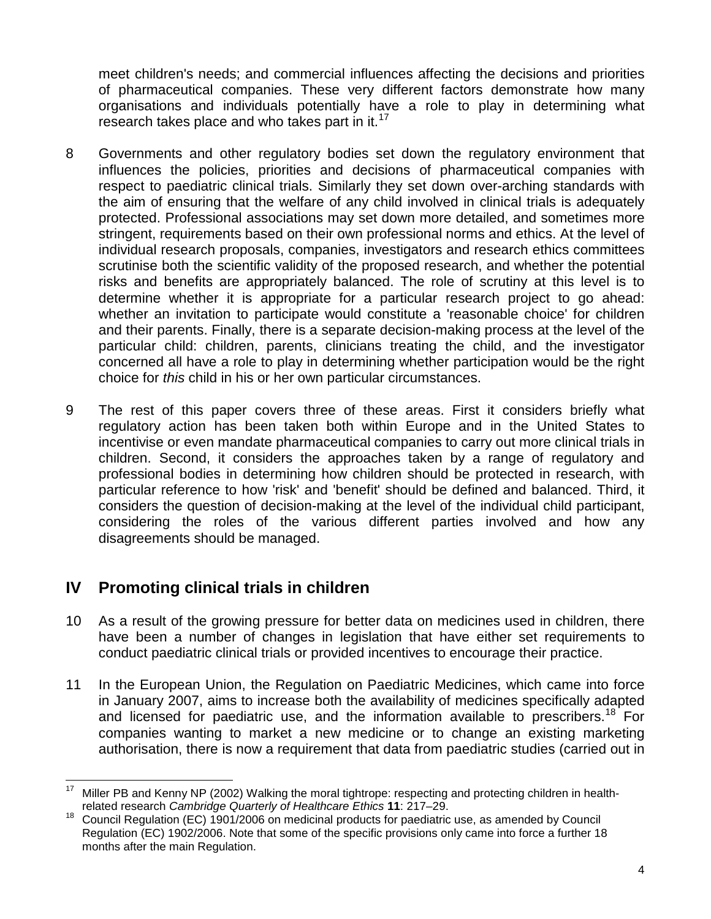meet children's needs; and commercial influences affecting the decisions and priorities of pharmaceutical companies. These very different factors demonstrate how many organisations and individuals potentially have a role to play in determining what research takes place and who takes part in it. $17$ 

- 8 Governments and other regulatory bodies set down the regulatory environment that influences the policies, priorities and decisions of pharmaceutical companies with respect to paediatric clinical trials. Similarly they set down over-arching standards with the aim of ensuring that the welfare of any child involved in clinical trials is adequately protected. Professional associations may set down more detailed, and sometimes more stringent, requirements based on their own professional norms and ethics. At the level of individual research proposals, companies, investigators and research ethics committees scrutinise both the scientific validity of the proposed research, and whether the potential risks and benefits are appropriately balanced. The role of scrutiny at this level is to determine whether it is appropriate for a particular research project to go ahead: whether an invitation to participate would constitute a 'reasonable choice' for children and their parents. Finally, there is a separate decision-making process at the level of the particular child: children, parents, clinicians treating the child, and the investigator concerned all have a role to play in determining whether participation would be the right choice for *this* child in his or her own particular circumstances.
- 9 The rest of this paper covers three of these areas. First it considers briefly what regulatory action has been taken both within Europe and in the United States to incentivise or even mandate pharmaceutical companies to carry out more clinical trials in children. Second, it considers the approaches taken by a range of regulatory and professional bodies in determining how children should be protected in research, with particular reference to how 'risk' and 'benefit' should be defined and balanced. Third, it considers the question of decision-making at the level of the individual child participant, considering the roles of the various different parties involved and how any disagreements should be managed.

# **IV Promoting clinical trials in children**

- 10 As a result of the growing pressure for better data on medicines used in children, there have been a number of changes in legislation that have either set requirements to conduct paediatric clinical trials or provided incentives to encourage their practice.
- 11 In the European Union, the Regulation on Paediatric Medicines, which came into force in January 2007, aims to increase both the availability of medicines specifically adapted and licensed for paediatric use, and the information available to prescribers.<sup>[18](#page-3-1)</sup> For companies wanting to market a new medicine or to change an existing marketing authorisation, there is now a requirement that data from paediatric studies (carried out in

<span id="page-3-0"></span> $17$ <sup>17</sup> Miller PB and Kenny NP (2002) Walking the moral tightrope: respecting and protecting children in healthrelated research *Cambridge Quarterly of Healthcare Ethics* **11**: 217–29.

<span id="page-3-1"></span><sup>18</sup> Council Regulation (EC) 1901/2006 on medicinal products for paediatric use, as amended by Council Regulation (EC) 1902/2006. Note that some of the specific provisions only came into force a further 18 months after the main Regulation.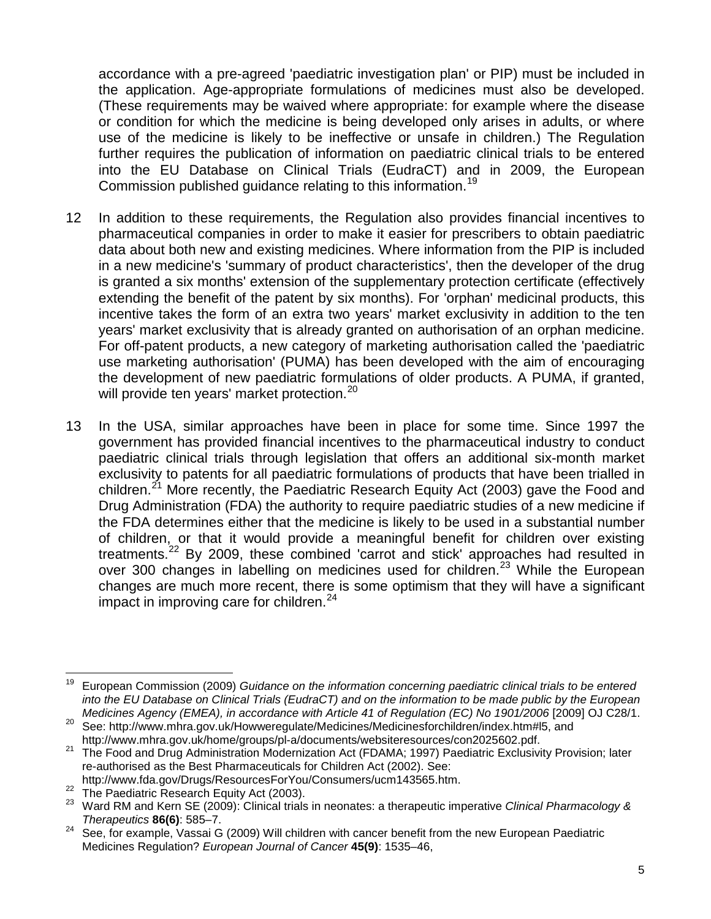accordance with a pre-agreed 'paediatric investigation plan' or PIP) must be included in the application. Age-appropriate formulations of medicines must also be developed. (These requirements may be waived where appropriate: for example where the disease or condition for which the medicine is being developed only arises in adults, or where use of the medicine is likely to be ineffective or unsafe in children.) The Regulation further requires the publication of information on paediatric clinical trials to be entered into the EU Database on Clinical Trials (EudraCT) and in 2009, the European Commission published guidance relating to this information.[19](#page-4-0)

- 12 In addition to these requirements, the Regulation also provides financial incentives to pharmaceutical companies in order to make it easier for prescribers to obtain paediatric data about both new and existing medicines. Where information from the PIP is included in a new medicine's 'summary of product characteristics', then the developer of the drug is granted a six months' extension of the supplementary protection certificate (effectively extending the benefit of the patent by six months). For 'orphan' medicinal products, this incentive takes the form of an extra two years' market exclusivity in addition to the ten years' market exclusivity that is already granted on authorisation of an orphan medicine. For off-patent products, a new category of marketing authorisation called the 'paediatric use marketing authorisation' (PUMA) has been developed with the aim of encouraging the development of new paediatric formulations of older products. A PUMA, if granted, will provide ten years' market protection.<sup>[20](#page-4-1)</sup>
- 13 In the USA, similar approaches have been in place for some time. Since 1997 the government has provided financial incentives to the pharmaceutical industry to conduct paediatric clinical trials through legislation that offers an additional six-month market exclusivity to patents for all paediatric formulations of products that have been trialled in children.<sup>[21](#page-4-2)</sup> More recently, the Paediatric Research Equity Act (2003) gave the Food and Drug Administration (FDA) the authority to require paediatric studies of a new medicine if the FDA determines either that the medicine is likely to be used in a substantial number of children, or that it would provide a meaningful benefit for children over existing treatments.[22](#page-4-3) By 2009, these combined 'carrot and stick' approaches had resulted in over 300 changes in labelling on medicines used for children.<sup>[23](#page-4-4)</sup> While the European changes are much more recent, there is some optimism that they will have a significant impact in improving care for children. $24$

<span id="page-4-0"></span><sup>19</sup> <sup>19</sup> European Commission (2009) *Guidance on the information concerning paediatric clinical trials to be entered into the EU Database on Clinical Trials (EudraCT) and on the information to be made public by the European Medicines Agency (EMEA), in accordance with Article 41 of Regulation (EC) No 1901/2006* [2009] OJ C28/1.

<span id="page-4-1"></span><sup>&</sup>lt;sup>20</sup> See: http://www.mhra.gov.uk/Howweregulate/Medicines/Medicinesforchildren/index.htm#l5, and<br>http://www.mhra.gov.uk/home/groups/pl-a/documents/websiteresources/con2025602.pdf.

<span id="page-4-2"></span>and the Food and Drug Administration Modernization Act (FDAMA; 1997) Paediatric Exclusivity Provision; later re-authorised as the Best Pharmaceuticals for Children Act (2002). See:<br>http://www.fda.gov/Drugs/ResourcesForYou/Consumers/ucm143565.htm.

<span id="page-4-4"></span><span id="page-4-3"></span><sup>22</sup> The Paediatric Research Equity Act (2003).<br>
<sup>22</sup> The Paediatric Research Equity Act (2003).<br>
<sup>23</sup> Ward RM and Kern SE (2009): Clinical trials in neonates: a therapeutic imperative Clinical Pharmacology & *Therapeutics* **86(6)**: 585–7.

<span id="page-4-5"></span> $24$  See, for example, Vassai G (2009) Will children with cancer benefit from the new European Paediatric Medicines Regulation? *European Journal of Cancer* **45(9)**: 1535–46,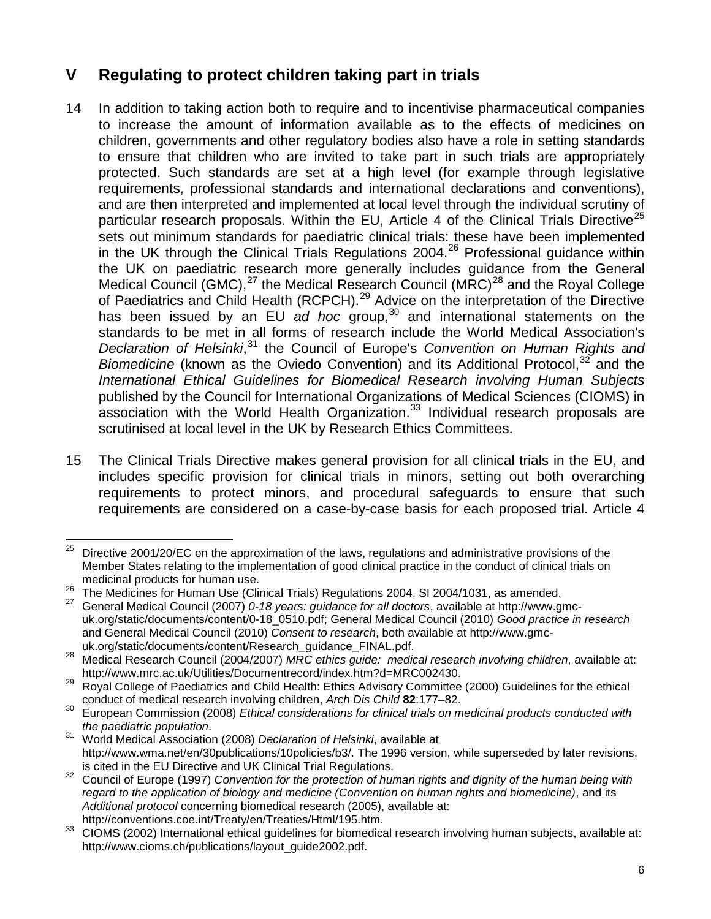# **V Regulating to protect children taking part in trials**

- 14 In addition to taking action both to require and to incentivise pharmaceutical companies to increase the amount of information available as to the effects of medicines on children, governments and other regulatory bodies also have a role in setting standards to ensure that children who are invited to take part in such trials are appropriately protected. Such standards are set at a high level (for example through legislative requirements, professional standards and international declarations and conventions), and are then interpreted and implemented at local level through the individual scrutiny of particular research proposals. Within the EU, Article 4 of the Clinical Trials Directive<sup>[25](#page-5-0)</sup> sets out minimum standards for paediatric clinical trials: these have been implemented in the UK through the Clinical Trials Regulations 2004.<sup>[26](#page-5-1)</sup> Professional guidance within the UK on paediatric research more generally includes guidance from the General Medical Council (GMC), $^{27}$  $^{27}$  $^{27}$  the Medical Research Council (MRC) $^{28}$  $^{28}$  $^{28}$  and the Royal College of Paediatrics and Child Health (RCPCH).<sup>[29](#page-5-4)</sup> Advice on the interpretation of the Directive has been issued by an EU *ad hoc* group, [30](#page-5-5) and international statements on the standards to be met in all forms of research include the World Medical Association's *Declaration of Helsinki*, [31](#page-5-6) the Council of Europe's *Convention on Human Rights and*  Biomedicine (known as the Oviedo Convention) and its Additional Protocol,<sup>[32](#page-5-7)</sup> and the *International Ethical Guidelines for Biomedical Research involving Human Subjects* published by the Council for International Organizations of Medical Sciences (CIOMS) in association with the World Health Organization. [33](#page-5-8) Individual research proposals are scrutinised at local level in the UK by Research Ethics Committees.
- 15 The Clinical Trials Directive makes general provision for all clinical trials in the EU, and includes specific provision for clinical trials in minors, setting out both overarching requirements to protect minors, and procedural safeguards to ensure that such requirements are considered on a case-by-case basis for each proposed trial. Article 4

<span id="page-5-0"></span><sup>25</sup> <sup>25</sup> Directive 2001/20/EC on the approximation of the laws, regulations and administrative provisions of the Member States relating to the implementation of good clinical practice in the conduct of clinical trials on medicinal products for human use.

<span id="page-5-1"></span><sup>&</sup>lt;sup>26</sup> The Medicines for Human Use (Clinical Trials) Regulations 2004, SI 2004/1031, as amended.<br><sup>27</sup> General Medical Council (2007) 0-18 years: quidance for all doctors, available at http://www.gmc-

<span id="page-5-2"></span>uk.org/static/documents/content/0-18\_0510.pdf; General Medical Council (2010) *Good practice in research*  and General Medical Council (2010) *Consent to research*, both available at http://www.gmc-

<span id="page-5-3"></span>Medical Research Council (2004/2007) *MRC ethics guide: medical research involving children*, available at: http://www.mrc.ac.uk/Utilities/Documentrecord/index.htm?d=MRC002430.<br><sup>29</sup> Royal College of Paediatrics and Child Health: Ethics Advisory Committee (2000) Guidelines for the ethical

<span id="page-5-4"></span>conduct of medical research involving children, *Arch Dis Child* **82**:177–82.

<span id="page-5-5"></span><sup>30</sup> European Commission (2008) *Ethical considerations for clinical trials on medicinal products conducted with*<br>the paediatric population.

<span id="page-5-6"></span>*the paediatric population*. <sup>31</sup> World Medical Association (2008) *Declaration of Helsinki*, available at http://www.wma.net/en/30publications/10policies/b3/. The 1996 version, while superseded by later revisions, is cited in the EU Directive and UK Clinical Trial Regulations.

<span id="page-5-7"></span><sup>&</sup>lt;sup>32</sup> Council of Europe (1997) *Convention for the protection of human rights and dignity of the human being with regard to the application of biology and medicine (Convention on human rights and biomedicine)*, and its *Additional protocol* concerning biomedical research (2005), available at:

<span id="page-5-8"></span>http://conventions.coe.int/Treaty/en/Treaties/Html/195.htm.<br>33 CIOMS (2002) International ethical guidelines for biomedical research involving human subjects, available at http://www.cioms.ch/publications/layout\_quide2002.pdf.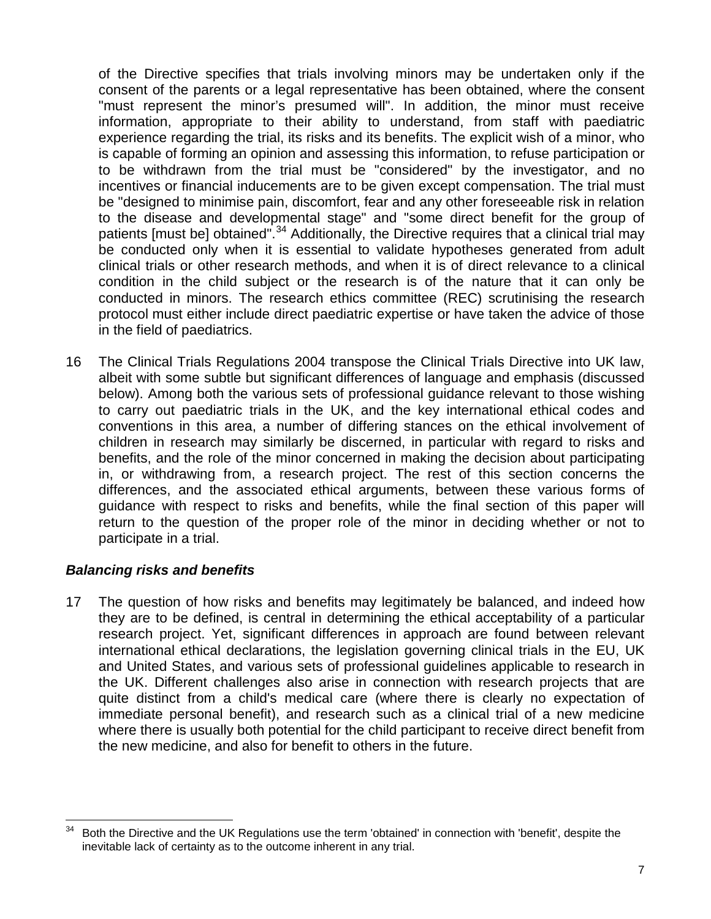of the Directive specifies that trials involving minors may be undertaken only if the consent of the parents or a legal representative has been obtained, where the consent "must represent the minor's presumed will". In addition, the minor must receive information, appropriate to their ability to understand, from staff with paediatric experience regarding the trial, its risks and its benefits. The explicit wish of a minor, who is capable of forming an opinion and assessing this information, to refuse participation or to be withdrawn from the trial must be "considered" by the investigator, and no incentives or financial inducements are to be given except compensation. The trial must be "designed to minimise pain, discomfort, fear and any other foreseeable risk in relation to the disease and developmental stage" and "some direct benefit for the group of patients [must be] obtained".<sup>[34](#page-6-0)</sup> Additionally, the Directive requires that a clinical trial may be conducted only when it is essential to validate hypotheses generated from adult clinical trials or other research methods, and when it is of direct relevance to a clinical condition in the child subject or the research is of the nature that it can only be conducted in minors. The research ethics committee (REC) scrutinising the research protocol must either include direct paediatric expertise or have taken the advice of those in the field of paediatrics.

16 The Clinical Trials Regulations 2004 transpose the Clinical Trials Directive into UK law, albeit with some subtle but significant differences of language and emphasis (discussed below). Among both the various sets of professional guidance relevant to those wishing to carry out paediatric trials in the UK, and the key international ethical codes and conventions in this area, a number of differing stances on the ethical involvement of children in research may similarly be discerned, in particular with regard to risks and benefits, and the role of the minor concerned in making the decision about participating in, or withdrawing from, a research project. The rest of this section concerns the differences, and the associated ethical arguments, between these various forms of guidance with respect to risks and benefits, while the final section of this paper will return to the question of the proper role of the minor in deciding whether or not to participate in a trial.

### *Balancing risks and benefits*

<span id="page-6-1"></span>17 The question of how risks and benefits may legitimately be balanced, and indeed how they are to be defined, is central in determining the ethical acceptability of a particular research project. Yet, significant differences in approach are found between relevant international ethical declarations, the legislation governing clinical trials in the EU, UK and United States, and various sets of professional guidelines applicable to research in the UK. Different challenges also arise in connection with research projects that are quite distinct from a child's medical care (where there is clearly no expectation of immediate personal benefit), and research such as a clinical trial of a new medicine where there is usually both potential for the child participant to receive direct benefit from the new medicine, and also for benefit to others in the future.

<span id="page-6-0"></span> $\overline{a}$ Both the Directive and the UK Regulations use the term 'obtained' in connection with 'benefit', despite the inevitable lack of certainty as to the outcome inherent in any trial.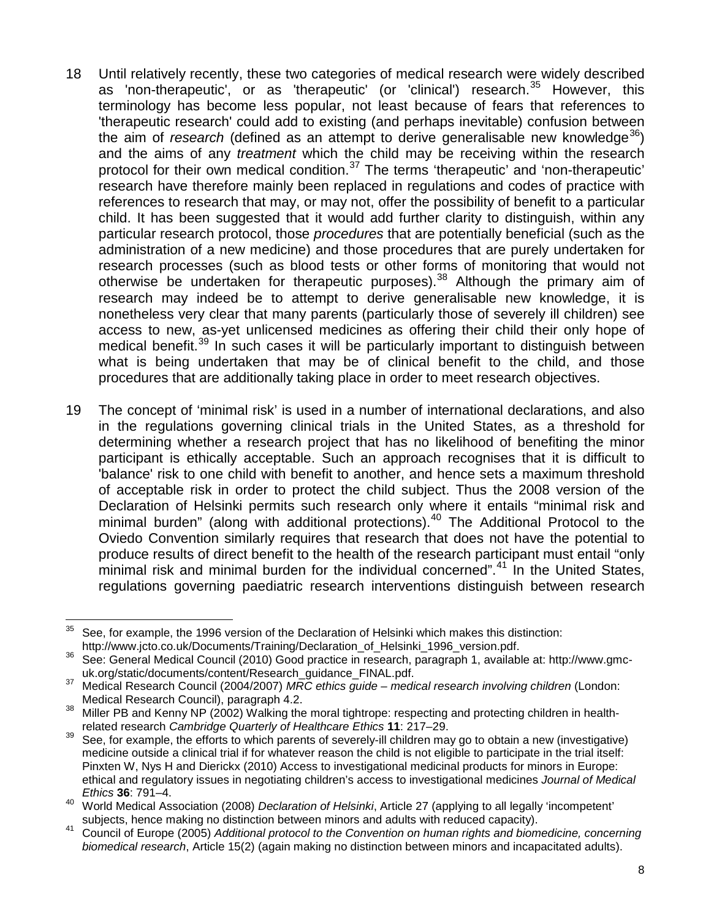- <span id="page-7-7"></span>18 Until relatively recently, these two categories of medical research were widely described as 'non-therapeutic', or as 'therapeutic' (or 'clinical') research.<sup>[35](#page-7-0)</sup> However, this terminology has become less popular, not least because of fears that references to 'therapeutic research' could add to existing (and perhaps inevitable) confusion between the aim of *research* (defined as an attempt to derive generalisable new knowledge<sup>[36](#page-7-1)</sup>) and the aims of any *treatment* which the child may be receiving within the research protocol for their own medical condition.<sup>[37](#page-7-2)</sup> The terms 'therapeutic' and 'non-therapeutic' research have therefore mainly been replaced in regulations and codes of practice with references to research that may, or may not, offer the possibility of benefit to a particular child. It has been suggested that it would add further clarity to distinguish, within any particular research protocol, those *procedures* that are potentially beneficial (such as the administration of a new medicine) and those procedures that are purely undertaken for research processes (such as blood tests or other forms of monitoring that would not otherwise be undertaken for therapeutic purposes).<sup>[38](#page-7-3)</sup> Although the primary aim of research may indeed be to attempt to derive generalisable new knowledge, it is nonetheless very clear that many parents (particularly those of severely ill children) see access to new, as-yet unlicensed medicines as offering their child their only hope of medical benefit.<sup>[39](#page-7-4)</sup> In such cases it will be particularly important to distinguish between what is being undertaken that may be of clinical benefit to the child, and those procedures that are additionally taking place in order to meet research objectives.
- 19 The concept of 'minimal risk' is used in a number of international declarations, and also in the regulations governing clinical trials in the United States, as a threshold for determining whether a research project that has no likelihood of benefiting the minor participant is ethically acceptable. Such an approach recognises that it is difficult to 'balance' risk to one child with benefit to another, and hence sets a maximum threshold of acceptable risk in order to protect the child subject. Thus the 2008 version of the Declaration of Helsinki permits such research only where it entails "minimal risk and minimal burden" (along with additional protections). [40](#page-7-5) The Additional Protocol to the Oviedo Convention similarly requires that research that does not have the potential to produce results of direct benefit to the health of the research participant must entail "only minimal risk and minimal burden for the individual concerned".<sup>[41](#page-7-6)</sup> In the United States, regulations governing paediatric research interventions distinguish between research

<span id="page-7-0"></span> $\overline{a}$ See, for example, the 1996 version of the Declaration of Helsinki which makes this distinction: http://www.jcto.co.uk/Documents/Training/Declaration\_of\_Helsinki\_1996\_version.pdf.

<span id="page-7-1"></span><sup>36</sup> See: General Medical Council (2010) Good practice in research, paragraph 1, available at: http://www.gmcuk.org/static/documents/content/Research\_guidance\_FINAL.pdf. 37 Medical Research Council (2004/2007) *MRC ethics guide – medical research involving children* (London:

<span id="page-7-2"></span>Medical Research Council), paragraph 4.2.<br><sup>38</sup> Miller PB and Kenny NP (2002) Walking the moral tightrope: respecting and protecting children in health-

<span id="page-7-3"></span>related research *Cambridge Quarterly of Healthcare Ethics* **11**: 217–29.

<span id="page-7-4"></span><sup>&</sup>lt;sup>39</sup> See, for example, the efforts to which parents of severely-ill children may go to obtain a new (investigative) medicine outside a clinical trial if for whatever reason the child is not eligible to participate in the trial itself: Pinxten W, Nys H and Dierickx (2010) Access to investigational medicinal products for minors in Europe: ethical and regulatory issues in negotiating children's access to investigational medicines *Journal of Medical Ethics* **36**: 791–4.

<span id="page-7-5"></span><sup>40</sup> World Medical Association (2008) *Declaration of Helsinki*, Article 27 (applying to all legally 'incompetent'

<span id="page-7-6"></span>subjects, hence making no distinction between minors and adults with reduced capacity). <sup>41</sup> Council of Europe (2005) *Additional protocol to the Convention on human rights and biomedicine, concerning biomedical research*, Article 15(2) (again making no distinction between minors and incapacitated adults).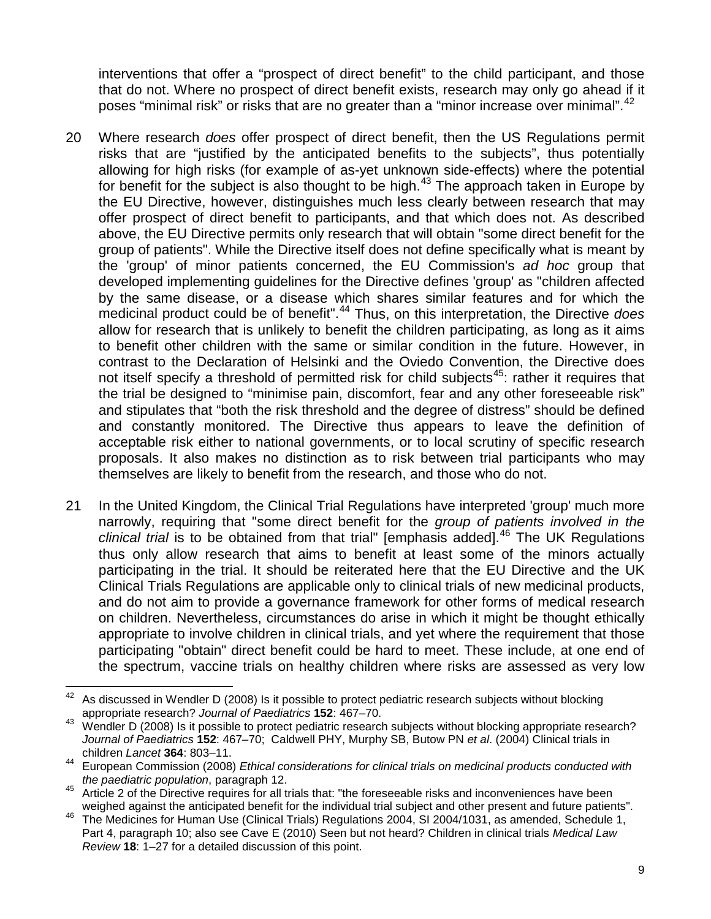interventions that offer a "prospect of direct benefit" to the child participant, and those that do not. Where no prospect of direct benefit exists, research may only go ahead if it poses "minimal risk" or risks that are no greater than a "minor increase over minimal".<sup>[42](#page-8-0)</sup>

- 20 Where research *does* offer prospect of direct benefit, then the US Regulations permit risks that are "justified by the anticipated benefits to the subjects", thus potentially allowing for high risks (for example of as-yet unknown side-effects) where the potential for benefit for the subject is also thought to be high.<sup>[43](#page-8-1)</sup> The approach taken in Europe by the EU Directive, however, distinguishes much less clearly between research that may offer prospect of direct benefit to participants, and that which does not. As described above, the EU Directive permits only research that will obtain "some direct benefit for the group of patients". While the Directive itself does not define specifically what is meant by the 'group' of minor patients concerned, the EU Commission's *ad hoc* group that developed implementing guidelines for the Directive defines 'group' as "children affected by the same disease, or a disease which shares similar features and for which the medicinal product could be of benefit".<sup>[44](#page-8-2)</sup> Thus, on this interpretation, the Directive *does* allow for research that is unlikely to benefit the children participating, as long as it aims to benefit other children with the same or similar condition in the future. However, in contrast to the Declaration of Helsinki and the Oviedo Convention, the Directive does not itself specify a threshold of permitted risk for child subjects<sup>45</sup>: rather it requires that the trial be designed to "minimise pain, discomfort, fear and any other foreseeable risk" and stipulates that "both the risk threshold and the degree of distress" should be defined and constantly monitored. The Directive thus appears to leave the definition of acceptable risk either to national governments, or to local scrutiny of specific research proposals. It also makes no distinction as to risk between trial participants who may themselves are likely to benefit from the research, and those who do not.
- 21 In the United Kingdom, the Clinical Trial Regulations have interpreted 'group' much more narrowly, requiring that "some direct benefit for the *group of patients involved in the*  clinical trial is to be obtained from that trial" [emphasis added].<sup>[46](#page-8-4)</sup> The UK Regulations thus only allow research that aims to benefit at least some of the minors actually participating in the trial. It should be reiterated here that the EU Directive and the UK Clinical Trials Regulations are applicable only to clinical trials of new medicinal products, and do not aim to provide a governance framework for other forms of medical research on children. Nevertheless, circumstances do arise in which it might be thought ethically appropriate to involve children in clinical trials, and yet where the requirement that those participating "obtain" direct benefit could be hard to meet. These include, at one end of the spectrum, vaccine trials on healthy children where risks are assessed as very low

<span id="page-8-0"></span><sup>42</sup> <sup>42</sup> As discussed in Wendler D (2008) Is it possible to protect pediatric research subjects without blocking appropriate research? *Journal of Paediatrics* **152**: 467–70.

<span id="page-8-1"></span><sup>&</sup>lt;sup>43</sup> Wendler D (2008) Is it possible to protect pediatric research subjects without blocking appropriate research? *Journal of Paediatrics* **152**: 467–70; Caldwell PHY, Murphy SB, Butow PN *et al*. (2004) Clinical trials in children *Lancet* **364**: 803–11.

<span id="page-8-2"></span><sup>44</sup> European Commission (2008) *Ethical considerations for clinical trials on medicinal products conducted with* 

<span id="page-8-3"></span>*the paramonic population*, paragraph 12. Article 2 of the Directive requires for all trials that: "the foreseeable risks and inconveniences have been<br>weighed against the anticipated benefit for the individual trial subjec

<span id="page-8-4"></span>The Medicines for Human Use (Clinical Trials) Regulations 2004, SI 2004/1031, as amended, Schedule 1, Part 4, paragraph 10; also see Cave E (2010) Seen but not heard? Children in clinical trials *Medical Law Review* **18**: 1–27 for a detailed discussion of this point.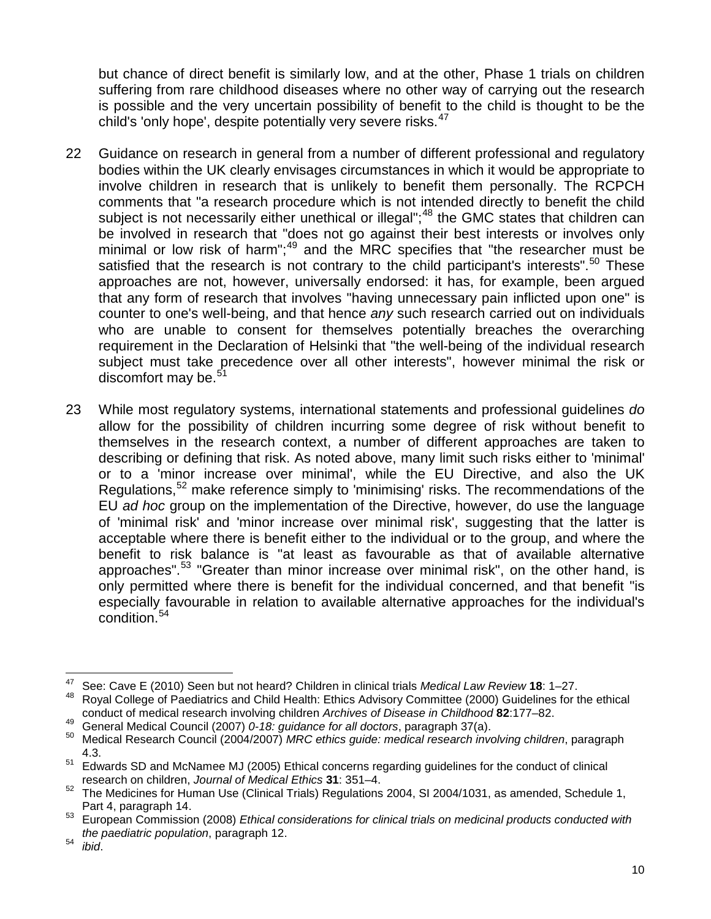but chance of direct benefit is similarly low, and at the other, Phase 1 trials on children suffering from rare childhood diseases where no other way of carrying out the research is possible and the very uncertain possibility of benefit to the child is thought to be the child's 'only hope', despite potentially very severe risks.<sup>[47](#page-9-0)</sup>

- 22 Guidance on research in general from a number of different professional and regulatory bodies within the UK clearly envisages circumstances in which it would be appropriate to involve children in research that is unlikely to benefit them personally. The RCPCH comments that "a research procedure which is not intended directly to benefit the child subject is not necessarily either unethical or illegal";<sup>[48](#page-9-1)</sup> the GMC states that children can be involved in research that "does not go against their best interests or involves only minimal or low risk of harm"; $49$  and the MRC specifies that "the researcher must be satisfied that the research is not contrary to the child participant's interests".<sup>[50](#page-9-3)</sup> These approaches are not, however, universally endorsed: it has, for example, been argued that any form of research that involves "having unnecessary pain inflicted upon one" is counter to one's well-being, and that hence *any* such research carried out on individuals who are unable to consent for themselves potentially breaches the overarching requirement in the Declaration of Helsinki that "the well-being of the individual research subject must take precedence over all other interests", however minimal the risk or discomfort may be.<sup>[51](#page-9-4)</sup>
- 23 While most regulatory systems, international statements and professional guidelines *do* allow for the possibility of children incurring some degree of risk without benefit to themselves in the research context, a number of different approaches are taken to describing or defining that risk. As noted above, many limit such risks either to 'minimal' or to a 'minor increase over minimal', while the EU Directive, and also the UK Regulations,<sup>[52](#page-9-5)</sup> make reference simply to 'minimising' risks. The recommendations of the EU *ad hoc* group on the implementation of the Directive, however, do use the language of 'minimal risk' and 'minor increase over minimal risk', suggesting that the latter is acceptable where there is benefit either to the individual or to the group, and where the benefit to risk balance is "at least as favourable as that of available alternative approaches".<sup>[53](#page-9-6)</sup> "Greater than minor increase over minimal risk", on the other hand, is only permitted where there is benefit for the individual concerned, and that benefit "is especially favourable in relation to available alternative approaches for the individual's condition.[54](#page-9-7)

<span id="page-9-0"></span><sup>47</sup> <sup>47</sup> See: Cave E (2010) Seen but not heard? Children in clinical trials *Medical Law Review* **18**: 1–27.

<span id="page-9-1"></span><sup>48</sup> Royal College of Paediatrics and Child Health: Ethics Advisory Committee (2000) Guidelines for the ethical conduct of medical research involving children *Archives of Disease in Childhood* **82**:177–82.

<span id="page-9-3"></span><span id="page-9-2"></span><sup>49</sup> General Medical Council (2007) *0-18: guidance for all doctors*, paragraph 37(a). <sup>50</sup> Medical Research Council (2004/2007) *MRC ethics guide: medical research involving children*, paragraph 4.3.

<span id="page-9-4"></span><sup>&</sup>lt;sup>51</sup> Edwards SD and McNamee MJ (2005) Ethical concerns regarding guidelines for the conduct of clinical research on children, *Journal of Medical Ethics* **31**: 351–4.

<span id="page-9-5"></span><sup>52</sup> The Medicines for Human Use (Clinical Trials) Regulations 2004, SI 2004/1031, as amended, Schedule 1,

<span id="page-9-6"></span>Part 4, paragraph 14.<br><sup>53</sup> European Commission (2008) *Ethical considerations for clinical trials on medicinal products conducted with the paediatric population*, paragraph 12. <sup>54</sup> *ibid*.

<span id="page-9-7"></span>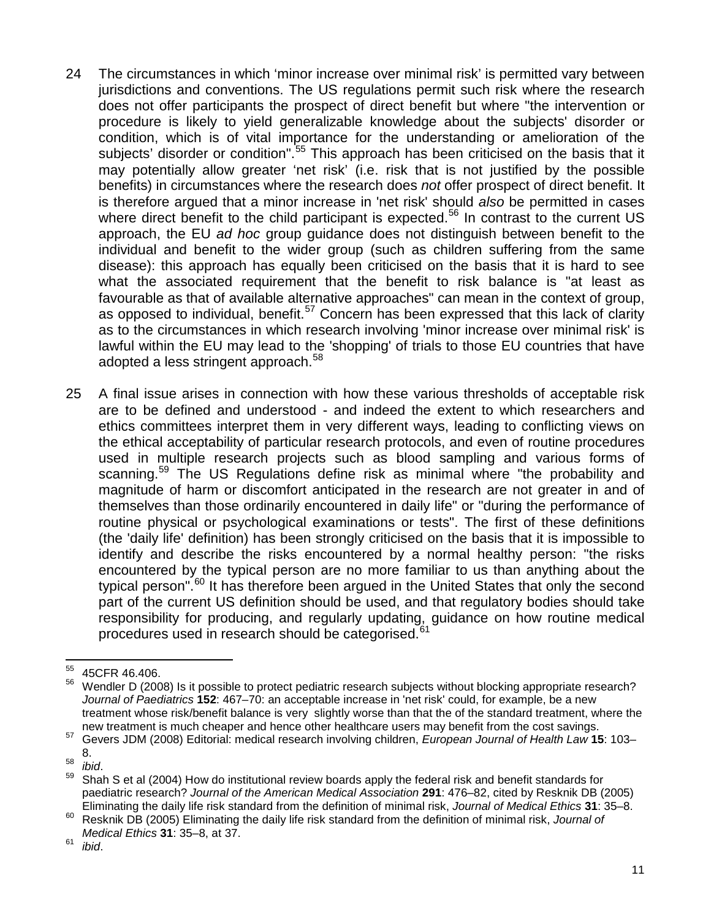- 24 The circumstances in which 'minor increase over minimal risk' is permitted vary between jurisdictions and conventions. The US regulations permit such risk where the research does not offer participants the prospect of direct benefit but where "the intervention or procedure is likely to yield generalizable knowledge about the subjects' disorder or condition, which is of vital importance for the understanding or amelioration of the subjects' disorder or condition".<sup>[55](#page-10-0)</sup> This approach has been criticised on the basis that it may potentially allow greater 'net risk' (i.e. risk that is not justified by the possible benefits) in circumstances where the research does *not* offer prospect of direct benefit. It is therefore argued that a minor increase in 'net risk' should *also* be permitted in cases where direct benefit to the child participant is expected.<sup>[56](#page-10-1)</sup> In contrast to the current US approach, the EU *ad hoc* group guidance does not distinguish between benefit to the individual and benefit to the wider group (such as children suffering from the same disease): this approach has equally been criticised on the basis that it is hard to see what the associated requirement that the benefit to risk balance is "at least as favourable as that of available alternative approaches" can mean in the context of group, as opposed to individual, benefit.<sup>[57](#page-10-2)</sup> Concern has been expressed that this lack of clarity as to the circumstances in which research involving 'minor increase over minimal risk' is lawful within the EU may lead to the 'shopping' of trials to those EU countries that have adopted a less stringent approach.<sup>[58](#page-10-3)</sup>
- 25 A final issue arises in connection with how these various thresholds of acceptable risk are to be defined and understood - and indeed the extent to which researchers and ethics committees interpret them in very different ways, leading to conflicting views on the ethical acceptability of particular research protocols, and even of routine procedures used in multiple research projects such as blood sampling and various forms of scanning.<sup>[59](#page-10-4)</sup> The US Regulations define risk as minimal where "the probability and magnitude of harm or discomfort anticipated in the research are not greater in and of themselves than those ordinarily encountered in daily life" or "during the performance of routine physical or psychological examinations or tests". The first of these definitions (the 'daily life' definition) has been strongly criticised on the basis that it is impossible to identify and describe the risks encountered by a normal healthy person: "the risks encountered by the typical person are no more familiar to us than anything about the typical person".<sup>[60](#page-10-5)</sup> It has therefore been argued in the United States that only the second part of the current US definition should be used, and that regulatory bodies should take responsibility for producing, and regularly updating, guidance on how routine medical procedures used in research should be categorised.<sup>[61](#page-10-6)</sup>

<span id="page-10-6"></span><sup>61</sup> *ibid*.

<span id="page-10-0"></span><sup>55</sup> 45 CFR 46.406.

<span id="page-10-1"></span>Wendler D (2008) Is it possible to protect pediatric research subjects without blocking appropriate research? *Journal of Paediatrics* **152**: 467–70: an acceptable increase in 'net risk' could, for example, be a new treatment whose risk/benefit balance is very slightly worse than that the of the standard treatment, where the<br>new treatment is much cheaper and hence other healthcare users may benefit from the cost savings.

<span id="page-10-2"></span>new treatment is much cheaper and hence other healthcare users may benefit from the cost savings. <sup>57</sup> Gevers JDM (2008) Editorial: medical research involving children, *European Journal of Health Law* **<sup>15</sup>**: 103– 8.<br>ibid.

<span id="page-10-4"></span><span id="page-10-3"></span><sup>58</sup> *ibid*. <sup>59</sup> Shah S et al (2004) How do institutional review boards apply the federal risk and benefit standards for paediatric research? *Journal of the American Medical Association* **291**: 476–82, cited by Resknik DB (2005) Eliminating the daily life risk standard from the definition of minimal risk, *Journal of Medical Ethics* **31**: 35–8.

<span id="page-10-5"></span><sup>60</sup> Resknik DB (2005) Eliminating the daily life risk standard from the definition of minimal risk, *Journal of Medical Ethics* **31**: 35–8, at 37.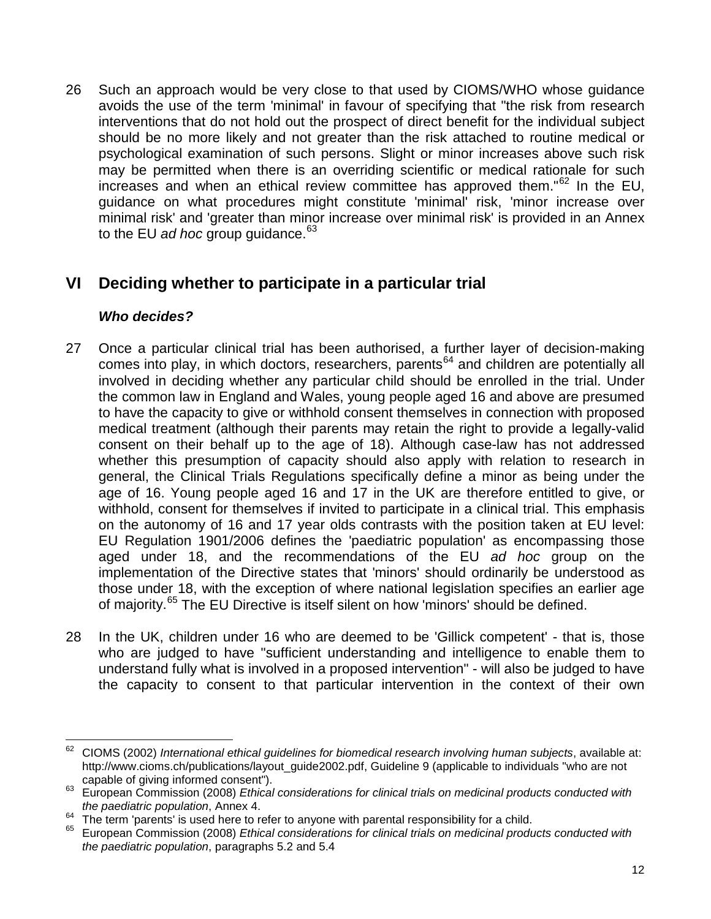26 Such an approach would be very close to that used by CIOMS/WHO whose guidance avoids the use of the term 'minimal' in favour of specifying that "the risk from research interventions that do not hold out the prospect of direct benefit for the individual subject should be no more likely and not greater than the risk attached to routine medical or psychological examination of such persons. Slight or minor increases above such risk may be permitted when there is an overriding scientific or medical rationale for such increases and when an ethical review committee has approved them." $62$  In the EU, guidance on what procedures might constitute 'minimal' risk, 'minor increase over minimal risk' and 'greater than minor increase over minimal risk' is provided in an Annex to the EU *ad hoc* group guidance.<sup>[63](#page-11-1)</sup>

# **VI Deciding whether to participate in a particular trial**

### *Who decides?*

- 27 Once a particular clinical trial has been authorised, a further layer of decision-making comes into play, in which doctors, researchers, parents<sup>[64](#page-11-2)</sup> and children are potentially all involved in deciding whether any particular child should be enrolled in the trial. Under the common law in England and Wales, young people aged 16 and above are presumed to have the capacity to give or withhold consent themselves in connection with proposed medical treatment (although their parents may retain the right to provide a legally-valid consent on their behalf up to the age of 18). Although case-law has not addressed whether this presumption of capacity should also apply with relation to research in general, the Clinical Trials Regulations specifically define a minor as being under the age of 16. Young people aged 16 and 17 in the UK are therefore entitled to give, or withhold, consent for themselves if invited to participate in a clinical trial. This emphasis on the autonomy of 16 and 17 year olds contrasts with the position taken at EU level: EU Regulation 1901/2006 defines the 'paediatric population' as encompassing those aged under 18, and the recommendations of the EU *ad hoc* group on the implementation of the Directive states that 'minors' should ordinarily be understood as those under 18, with the exception of where national legislation specifies an earlier age of majority.<sup>[65](#page-11-3)</sup> The EU Directive is itself silent on how 'minors' should be defined.
- 28 In the UK, children under 16 who are deemed to be 'Gillick competent' that is, those who are judged to have "sufficient understanding and intelligence to enable them to understand fully what is involved in a proposed intervention" - will also be judged to have the capacity to consent to that particular intervention in the context of their own

<span id="page-11-0"></span><sup>62</sup> <sup>62</sup> CIOMS (2002) *International ethical guidelines for biomedical research involving human subjects*, available at: http://www.cioms.ch/publications/layout\_guide2002.pdf, Guideline 9 (applicable to individuals "who are not<br>capable of giving informed consent").

<span id="page-11-1"></span><sup>&</sup>lt;sup>63</sup> European Commission (2008) *Ethical considerations for clinical trials on medicinal products conducted with the paediatric population*, Annex 4.

<span id="page-11-3"></span><span id="page-11-2"></span><sup>64</sup> The term 'parents' is used here to refer to anyone with parental responsibility for a child.<br><sup>65</sup> European Commission (2008) *Ethical considerations for clinical trials on medicinal products conducted with the paediatric population*, paragraphs 5.2 and 5.4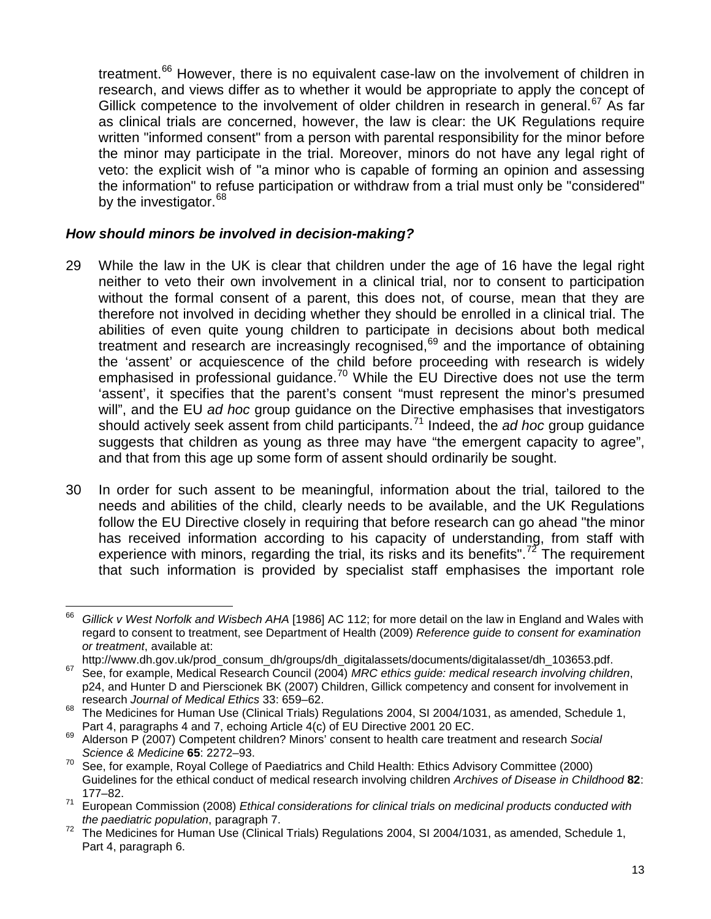treatment.<sup>[66](#page-12-0)</sup> However, there is no equivalent case-law on the involvement of children in research, and views differ as to whether it would be appropriate to apply the concept of Gillick competence to the involvement of older children in research in general.<sup>[67](#page-12-1)</sup> As far as clinical trials are concerned, however, the law is clear: the UK Regulations require written "informed consent" from a person with parental responsibility for the minor before the minor may participate in the trial. Moreover, minors do not have any legal right of veto: the explicit wish of "a minor who is capable of forming an opinion and assessing the information" to refuse participation or withdraw from a trial must only be "considered" by the investigator.<sup>[68](#page-12-2)</sup>

#### *How should minors be involved in decision-making?*

- 29 While the law in the UK is clear that children under the age of 16 have the legal right neither to veto their own involvement in a clinical trial, nor to consent to participation without the formal consent of a parent, this does not, of course, mean that they are therefore not involved in deciding whether they should be enrolled in a clinical trial. The abilities of even quite young children to participate in decisions about both medical treatment and research are increasingly recognised, $69$  and the importance of obtaining the 'assent' or acquiescence of the child before proceeding with research is widely emphasised in professional quidance.<sup>[70](#page-12-4)</sup> While the EU Directive does not use the term 'assent', it specifies that the parent's consent "must represent the minor's presumed will", and the EU *ad hoc* group guidance on the Directive emphasises that investigators should actively seek assent from child participants.[71](#page-12-5) Indeed, the *ad hoc* group guidance suggests that children as young as three may have "the emergent capacity to agree", and that from this age up some form of assent should ordinarily be sought.
- 30 In order for such assent to be meaningful, information about the trial, tailored to the needs and abilities of the child, clearly needs to be available, and the UK Regulations follow the EU Directive closely in requiring that before research can go ahead "the minor has received information according to his capacity of understanding, from staff with experience with minors, regarding the trial, its risks and its benefits".<sup>[72](#page-12-6)</sup> The requirement that such information is provided by specialist staff emphasises the important role

<span id="page-12-0"></span><sup>66</sup> <sup>66</sup> *Gillick v West Norfolk and Wisbech AHA* [1986] AC 112; for more detail on the law in England and Wales with regard to consent to treatment, see Department of Health (2009) *Reference guide to consent for examination or treatment*, available at:

http://www.dh.gov.uk/prod\_consum\_dh/groups/dh\_digitalassets/documents/digitalasset/dh\_103653.pdf.

<span id="page-12-1"></span><sup>67</sup> See, for example, Medical Research Council (2004) *MRC ethics guide: medical research involving children*, p24, and Hunter D and Pierscionek BK (2007) Children, Gillick competency and consent for involvement in research *Journal of Medical Ethics* 33: 659–62.

<span id="page-12-2"></span><sup>68</sup> The Medicines for Human Use (Clinical Trials) Regulations 2004, SI 2004/1031, as amended, Schedule 1,<br>Part 4, paragraphs 4 and 7, echoing Article 4(c) of EU Directive 2001 20 EC.

<span id="page-12-3"></span><sup>&</sup>lt;sup>69</sup> Alderson P (2007) Competent children? Minors' consent to health care treatment and research *Social Science & Medicine* **65**: 2272–93.

<span id="page-12-4"></span> $70$  See, for example, Royal College of Paediatrics and Child Health: Ethics Advisory Committee (2000) Guidelines for the ethical conduct of medical research involving children *Archives of Disease in Childhood* **82**: 177–82.

<span id="page-12-5"></span><sup>71</sup> European Commission (2008) *Ethical considerations for clinical trials on medicinal products conducted with* 

<span id="page-12-6"></span>*the paediatric population*, paragraph 7.<br><sup>72</sup> The Medicines for Human Use (Clinical Trials) Regulations 2004, SI 2004/1031, as amended, Schedule 1, Part 4, paragraph 6.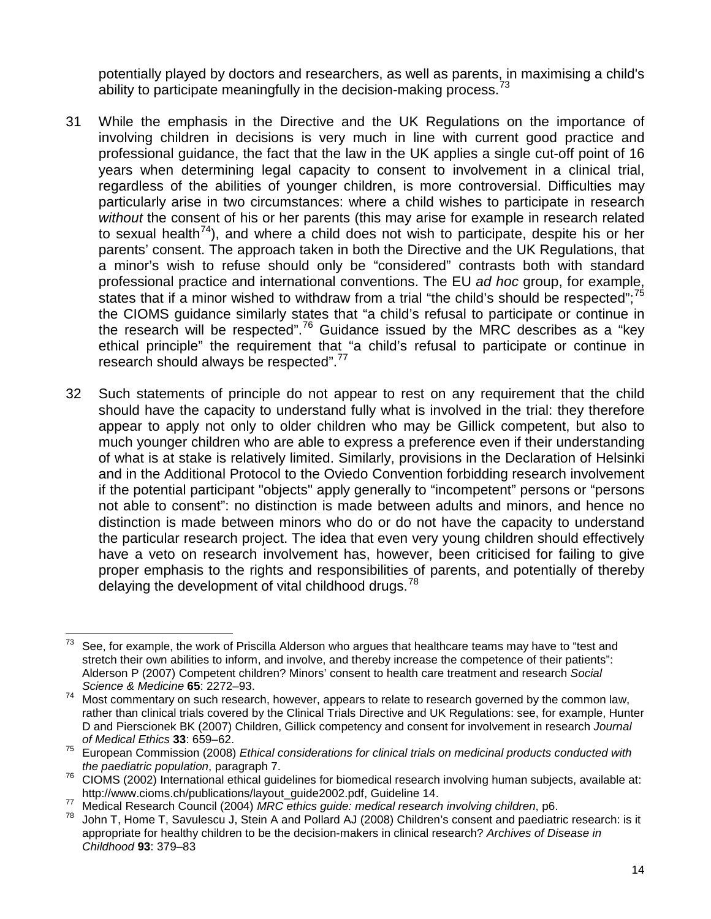potentially played by doctors and researchers, as well as parents, in maximising a child's ability to participate meaningfully in the decision-making process.<sup>[73](#page-13-0)</sup>

- 31 While the emphasis in the Directive and the UK Regulations on the importance of involving children in decisions is very much in line with current good practice and professional guidance, the fact that the law in the UK applies a single cut-off point of 16 years when determining legal capacity to consent to involvement in a clinical trial, regardless of the abilities of younger children, is more controversial. Difficulties may particularly arise in two circumstances: where a child wishes to participate in research *without* the consent of his or her parents (this may arise for example in research related to sexual health<sup>74</sup>), and where a child does not wish to participate, despite his or her parents' consent. The approach taken in both the Directive and the UK Regulations, that a minor's wish to refuse should only be "considered" contrasts both with standard professional practice and international conventions. The EU *ad hoc* group, for example, states that if a minor wished to withdraw from a trial "the child's should be respected";<sup>[75](#page-13-2)</sup> the CIOMS guidance similarly states that "a child's refusal to participate or continue in the research will be respected".[76](#page-13-3) Guidance issued by the MRC describes as a "key ethical principle" the requirement that "a child's refusal to participate or continue in research should always be respected".[77](#page-13-4)
- 32 Such statements of principle do not appear to rest on any requirement that the child should have the capacity to understand fully what is involved in the trial: they therefore appear to apply not only to older children who may be Gillick competent, but also to much younger children who are able to express a preference even if their understanding of what is at stake is relatively limited. Similarly, provisions in the Declaration of Helsinki and in the Additional Protocol to the Oviedo Convention forbidding research involvement if the potential participant "objects" apply generally to "incompetent" persons or "persons not able to consent": no distinction is made between adults and minors, and hence no distinction is made between minors who do or do not have the capacity to understand the particular research project. The idea that even very young children should effectively have a veto on research involvement has, however, been criticised for failing to give proper emphasis to the rights and responsibilities of parents, and potentially of thereby delaying the development of vital childhood drugs.<sup>[78](#page-13-5)</sup>

<span id="page-13-0"></span><sup>73</sup> See, for example, the work of Priscilla Alderson who argues that healthcare teams may have to "test and stretch their own abilities to inform, and involve, and thereby increase the competence of their patients": Alderson P (2007) Competent children? Minors' consent to health care treatment and research *Social Science & Medicine* **65**: 2272–93.

<span id="page-13-1"></span><sup>74</sup> Most commentary on such research, however, appears to relate to research governed by the common law, rather than clinical trials covered by the Clinical Trials Directive and UK Regulations: see, for example, Hunter D and Pierscionek BK (2007) Children, Gillick competency and consent for involvement in research *Journal of Medical Ethics* **33**: 659–62.

<span id="page-13-2"></span><sup>75</sup> European Commission (2008) *Ethical considerations for clinical trials on medicinal products conducted with* 

<span id="page-13-3"></span>*the paculation population*, paragraph 7.<br>CIOMS (2002) International ethical guidelines for biomedical research involving human subjects, available at:<br>http://www.cioms.ch/publications/lavout\_quide2002.pdf. Guideline 14.

<span id="page-13-5"></span><span id="page-13-4"></span>Transference in the search Council (2004) MRC ethics guide: medical research involving children, p6.<br>Transference and Research Council (2004) MRC ethics guide: medical research involving children, p6.<br>Transference and Dill appropriate for healthy children to be the decision-makers in clinical research? *Archives of Disease in Childhood* **93**: 379–83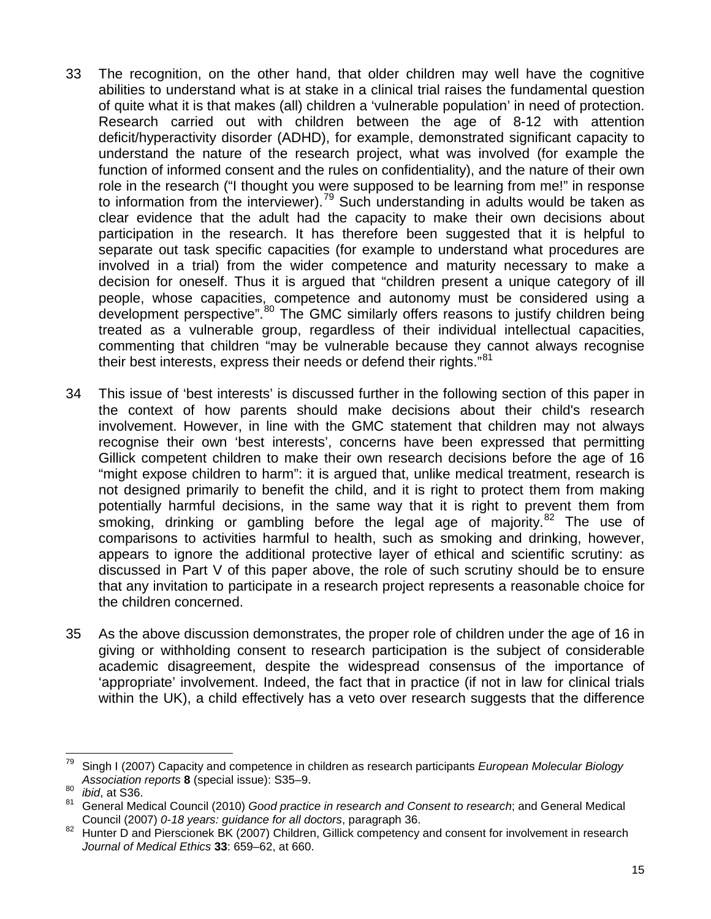- 33 The recognition, on the other hand, that older children may well have the cognitive abilities to understand what is at stake in a clinical trial raises the fundamental question of quite what it is that makes (all) children a 'vulnerable population' in need of protection. Research carried out with children between the age of 8-12 with attention deficit/hyperactivity disorder (ADHD), for example, demonstrated significant capacity to understand the nature of the research project, what was involved (for example the function of informed consent and the rules on confidentiality), and the nature of their own role in the research ("I thought you were supposed to be learning from me!" in response to information from the interviewer).<sup>[79](#page-14-0)</sup> Such understanding in adults would be taken as clear evidence that the adult had the capacity to make their own decisions about participation in the research. It has therefore been suggested that it is helpful to separate out task specific capacities (for example to understand what procedures are involved in a trial) from the wider competence and maturity necessary to make a decision for oneself. Thus it is argued that "children present a unique category of ill people, whose capacities, competence and autonomy must be considered using a development perspective".<sup>[80](#page-14-1)</sup> The GMC similarly offers reasons to justify children being treated as a vulnerable group, regardless of their individual intellectual capacities, commenting that children "may be vulnerable because they cannot always recognise their best interests, express their needs or defend their rights."<sup>[81](#page-14-2)</sup>
- 34 This issue of 'best interests' is discussed further in the following section of this paper in the context of how parents should make decisions about their child's research involvement. However, in line with the GMC statement that children may not always recognise their own 'best interests', concerns have been expressed that permitting Gillick competent children to make their own research decisions before the age of 16 "might expose children to harm": it is argued that, unlike medical treatment, research is not designed primarily to benefit the child, and it is right to protect them from making potentially harmful decisions, in the same way that it is right to prevent them from smoking, drinking or gambling before the legal age of majority.<sup>[82](#page-14-3)</sup> The use of comparisons to activities harmful to health, such as smoking and drinking, however, appears to ignore the additional protective layer of ethical and scientific scrutiny: as discussed in Part V of this paper above, the role of such scrutiny should be to ensure that any invitation to participate in a research project represents a reasonable choice for the children concerned.
- 35 As the above discussion demonstrates, the proper role of children under the age of 16 in giving or withholding consent to research participation is the subject of considerable academic disagreement, despite the widespread consensus of the importance of 'appropriate' involvement. Indeed, the fact that in practice (if not in law for clinical trials within the UK), a child effectively has a veto over research suggests that the difference

 $\overline{a}$ 

<span id="page-14-0"></span>Singh I (2007) Capacity and competence in children as research participants *European Molecular Biology Association reports* **8** (special issue): S35–9.

<span id="page-14-1"></span><sup>80</sup> *ibid*, at S36.

<span id="page-14-2"></span>General Medical Council (2010) *Good practice in research and Consent to research*; and General Medical Council (2007) 0-18 years: *guidance for all doctors*, paragraph 36.

<span id="page-14-3"></span>Hunter D and Pierscionek BK (2007) Children, Gillick competency and consent for involvement in research *Journal of Medical Ethics* **33**: 659–62, at 660.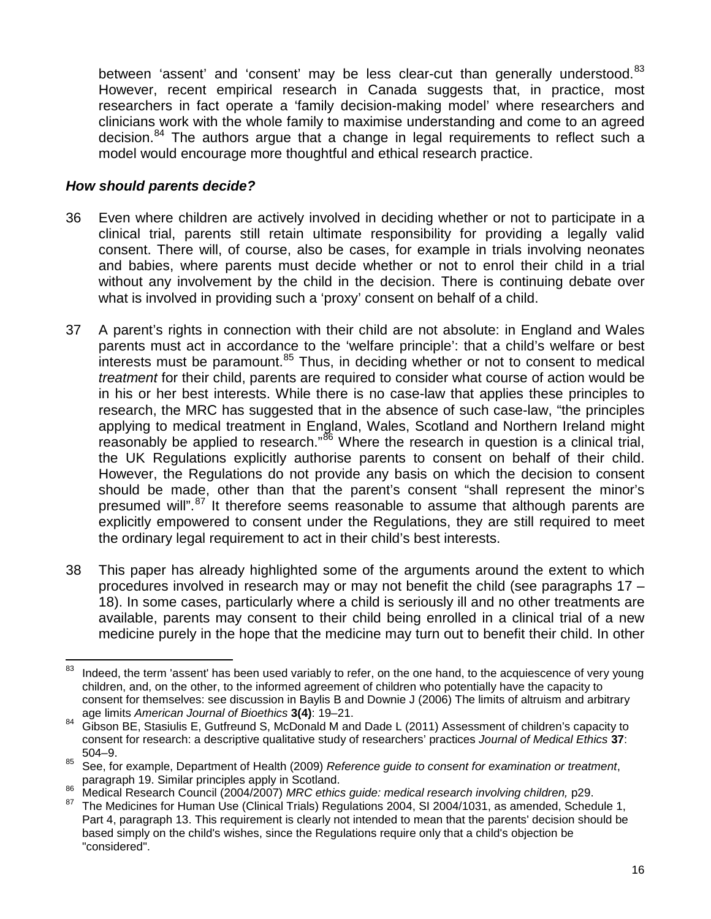between 'assent' and 'consent' may be less clear-cut than generally understood.<sup>[83](#page-15-0)</sup> However, recent empirical research in Canada suggests that, in practice, most researchers in fact operate a 'family decision-making model' where researchers and clinicians work with the whole family to maximise understanding and come to an agreed decision.<sup>[84](#page-15-1)</sup> The authors argue that a change in legal requirements to reflect such a model would encourage more thoughtful and ethical research practice.

#### *How should parents decide?*

- 36 Even where children are actively involved in deciding whether or not to participate in a clinical trial, parents still retain ultimate responsibility for providing a legally valid consent. There will, of course, also be cases, for example in trials involving neonates and babies, where parents must decide whether or not to enrol their child in a trial without any involvement by the child in the decision. There is continuing debate over what is involved in providing such a 'proxy' consent on behalf of a child.
- 37 A parent's rights in connection with their child are not absolute: in England and Wales parents must act in accordance to the 'welfare principle': that a child's welfare or best  $\frac{1}{10}$  interests must be paramount.<sup>[85](#page-15-2)</sup> Thus, in deciding whether or not to consent to medical *treatment* for their child, parents are required to consider what course of action would be in his or her best interests. While there is no case-law that applies these principles to research, the MRC has suggested that in the absence of such case-law, "the principles applying to medical treatment in England, Wales, Scotland and Northern Ireland might reasonably be applied to research."<sup>[86](#page-15-3)</sup> Where the research in question is a clinical trial, the UK Regulations explicitly authorise parents to consent on behalf of their child. However, the Regulations do not provide any basis on which the decision to consent should be made, other than that the parent's consent "shall represent the minor's presumed will".<sup>[87](#page-15-4)</sup> It therefore seems reasonable to assume that although parents are explicitly empowered to consent under the Regulations, they are still required to meet the ordinary legal requirement to act in their child's best interests.
- 38 This paper has already highlighted some of the arguments around the extent to which procedures involved in research may or may not benefit the child (see paragraphs [17](#page-6-1) – [18\)](#page-7-7). In some cases, particularly where a child is seriously ill and no other treatments are available, parents may consent to their child being enrolled in a clinical trial of a new medicine purely in the hope that the medicine may turn out to benefit their child. In other

<span id="page-15-0"></span><sup>83</sup> Indeed, the term 'assent' has been used variably to refer, on the one hand, to the acquiescence of very young children, and, on the other, to the informed agreement of children who potentially have the capacity to consent for themselves: see discussion in Baylis B and Downie J (2006) The limits of altruism and arbitrary age limits *American Journal of Bioethics* **3(4)**: 19–21.

<span id="page-15-1"></span><sup>&</sup>lt;sup>84</sup> Gibson BE, Stasiulis E, Gutfreund S, McDonald M and Dade L (2011) Assessment of children's capacity to consent for research: a descriptive qualitative study of researchers' practices *Journal of Medical Ethics* **37**: 504–9.

<span id="page-15-2"></span><sup>85</sup> See, for example, Department of Health (2009) *Reference guide to consent for examination or treatment*,

<span id="page-15-3"></span>the Medical Research Council (2004/2007) MRC ethics guide: medical research involving children, p29.<br><sup>86</sup> Medical Research Council (2004/2007) MRC ethics guide: medical research involving children, p29.<br><sup>87</sup> The Medicines

<span id="page-15-4"></span>Part 4, paragraph 13. This requirement is clearly not intended to mean that the parents' decision should be based simply on the child's wishes, since the Regulations require only that a child's objection be "considered".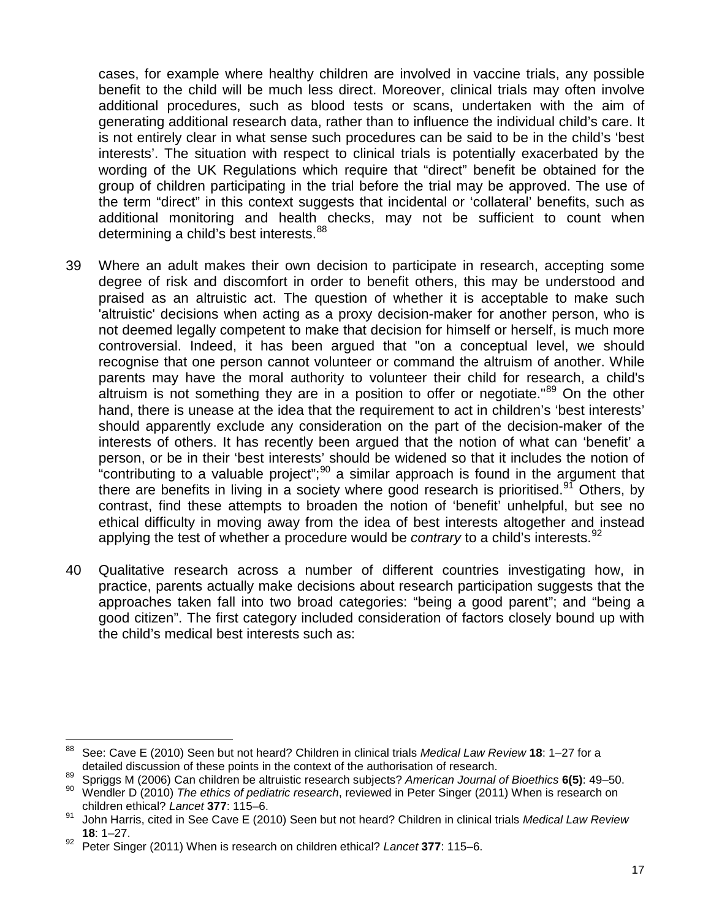cases, for example where healthy children are involved in vaccine trials, any possible benefit to the child will be much less direct. Moreover, clinical trials may often involve additional procedures, such as blood tests or scans, undertaken with the aim of generating additional research data, rather than to influence the individual child's care. It is not entirely clear in what sense such procedures can be said to be in the child's 'best interests'. The situation with respect to clinical trials is potentially exacerbated by the wording of the UK Regulations which require that "direct" benefit be obtained for the group of children participating in the trial before the trial may be approved. The use of the term "direct" in this context suggests that incidental or 'collateral' benefits, such as additional monitoring and health checks, may not be sufficient to count when determining a child's best interests.<sup>[88](#page-16-0)</sup>

- 39 Where an adult makes their own decision to participate in research, accepting some degree of risk and discomfort in order to benefit others, this may be understood and praised as an altruistic act. The question of whether it is acceptable to make such 'altruistic' decisions when acting as a proxy decision-maker for another person, who is not deemed legally competent to make that decision for himself or herself, is much more controversial. Indeed, it has been argued that "on a conceptual level, we should recognise that one person cannot volunteer or command the altruism of another. While parents may have the moral authority to volunteer their child for research, a child's altruism is not something they are in a position to offer or negotiate."<sup>[89](#page-16-1)</sup> On the other hand, there is unease at the idea that the requirement to act in children's 'best interests' should apparently exclude any consideration on the part of the decision-maker of the interests of others. It has recently been argued that the notion of what can 'benefit' a person, or be in their 'best interests' should be widened so that it includes the notion of "contributing to a valuable project"; $90$  a similar approach is found in the argument that there are benefits in living in a society where good research is prioritised.<sup>[91](#page-16-3)</sup> Others, by contrast, find these attempts to broaden the notion of 'benefit' unhelpful, but see no ethical difficulty in moving away from the idea of best interests altogether and instead applying the test of whether a procedure would be *contrary* to a child's interests.<sup>[92](#page-16-4)</sup>
- 40 Qualitative research across a number of different countries investigating how, in practice, parents actually make decisions about research participation suggests that the approaches taken fall into two broad categories: "being a good parent"; and "being a good citizen". The first category included consideration of factors closely bound up with the child's medical best interests such as:

<span id="page-16-0"></span><sup>88</sup> See: Cave E (2010) Seen but not heard? Children in clinical trials *Medical Law Review* 18: 1–27 for a detailed discussion of these points in the context of the authorisation of research.

<span id="page-16-1"></span><sup>&</sup>lt;sup>89</sup> Spriggs M (2006) Can children be altruistic research subjects? *American Journal of Bioethics* **6(5)**: 49–50.<br><sup>90</sup> Mendlar D (2010) *The ethics* of politicis research subjects? Bater Singer (2011) Mhen is research an

<span id="page-16-2"></span><sup>90</sup> Wendler D (2010) *The ethics of pediatric research*, reviewed in Peter Singer (2011) When is research on children ethical? *Lancet* **377**: 115–6.

<span id="page-16-3"></span><sup>91</sup> John Harris, cited in See Cave E (2010) Seen but not heard? Children in clinical trials *Medical Law Review* **18**: 1–27.

<span id="page-16-4"></span><sup>92</sup> Peter Singer (2011) When is research on children ethical? *Lancet* **377**: 115–6.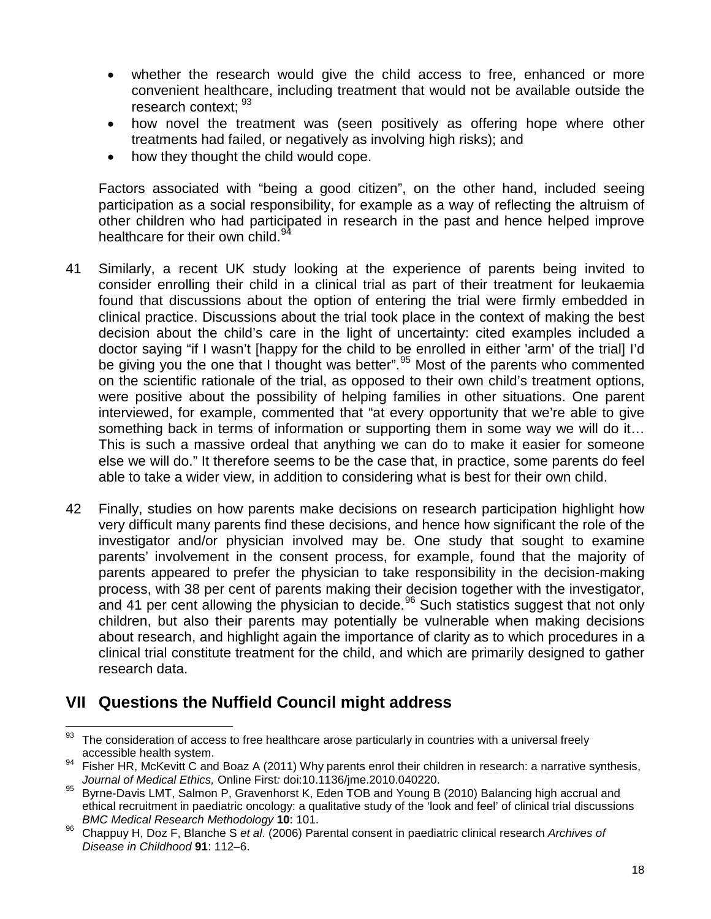- whether the research would give the child access to free, enhanced or more convenient healthcare, including treatment that would not be available outside the research context: [93](#page-17-0)
- how novel the treatment was (seen positively as offering hope where other treatments had failed, or negatively as involving high risks); and
- how they thought the child would cope.

Factors associated with "being a good citizen", on the other hand, included seeing participation as a social responsibility, for example as a way of reflecting the altruism of other children who had participated in research in the past and hence helped improve healthcare for their own child.<sup>[94](#page-17-1)</sup>

- 41 Similarly, a recent UK study looking at the experience of parents being invited to consider enrolling their child in a clinical trial as part of their treatment for leukaemia found that discussions about the option of entering the trial were firmly embedded in clinical practice. Discussions about the trial took place in the context of making the best decision about the child's care in the light of uncertainty: cited examples included a doctor saying "if I wasn't [happy for the child to be enrolled in either 'arm' of the trial] I'd be giving you the one that I thought was better".<sup>[95](#page-17-2)</sup> Most of the parents who commented on the scientific rationale of the trial, as opposed to their own child's treatment options, were positive about the possibility of helping families in other situations. One parent interviewed, for example, commented that "at every opportunity that we're able to give something back in terms of information or supporting them in some way we will do it… This is such a massive ordeal that anything we can do to make it easier for someone else we will do." It therefore seems to be the case that, in practice, some parents do feel able to take a wider view, in addition to considering what is best for their own child.
- 42 Finally, studies on how parents make decisions on research participation highlight how very difficult many parents find these decisions, and hence how significant the role of the investigator and/or physician involved may be. One study that sought to examine parents' involvement in the consent process, for example, found that the majority of parents appeared to prefer the physician to take responsibility in the decision-making process, with 38 per cent of parents making their decision together with the investigator, and 41 per cent allowing the physician to decide.<sup>[96](#page-17-3)</sup> Such statistics suggest that not only children, but also their parents may potentially be vulnerable when making decisions about research, and highlight again the importance of clarity as to which procedures in a clinical trial constitute treatment for the child, and which are primarily designed to gather research data.

# **VII Questions the Nuffield Council might address**

<span id="page-17-0"></span><sup>93</sup> The consideration of access to free healthcare arose particularly in countries with a universal freely

<span id="page-17-1"></span>accessible health system.<br>94 Fisher HR, McKevitt C and Boaz A (2011) Why parents enrol their children in research: a narrative synthesis,<br>Journal of Medical Ethics, Online First: doi:10.1136/jme.2010.040220.

<span id="page-17-2"></span>*Journal of Medical Ethics,* Online First*:* doi:10.1136/jme.2010.040220. <sup>95</sup> Byrne-Davis LMT, Salmon P, Gravenhorst K, Eden TOB and Young B (2010) Balancing high accrual and ethical recruitment in paediatric oncology: a qualitative study of the 'look and feel' of clinical trial discussions *BMC Medical Research Methodology* **10**: 101.

<span id="page-17-3"></span><sup>96</sup> Chappuy H, Doz F, Blanche S *et al*. (2006) Parental consent in paediatric clinical research *Archives of Disease in Childhood* **91**: 112–6.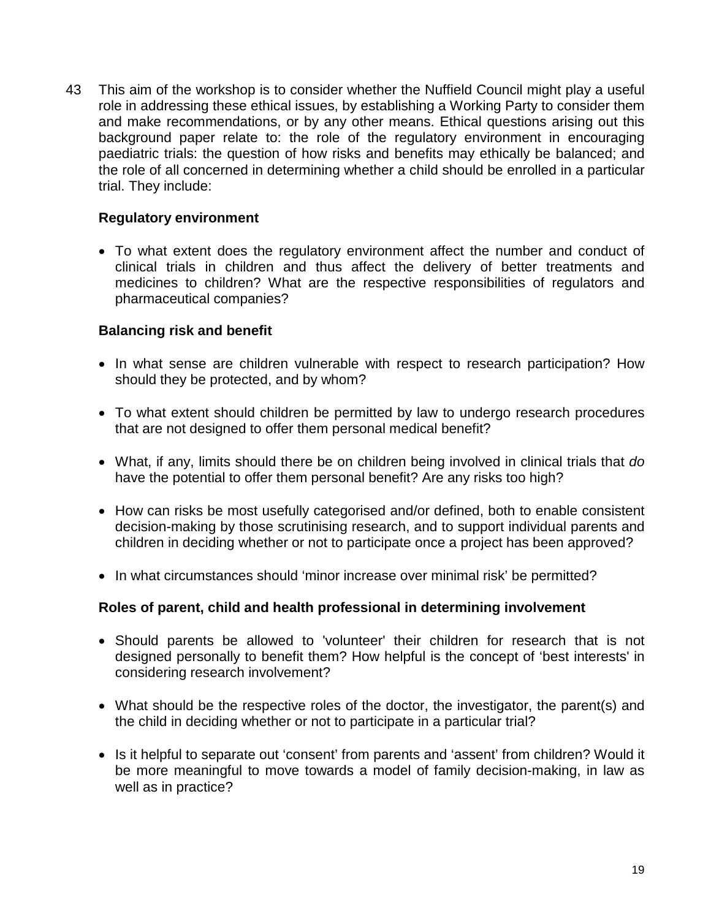43 This aim of the workshop is to consider whether the Nuffield Council might play a useful role in addressing these ethical issues, by establishing a Working Party to consider them and make recommendations, or by any other means. Ethical questions arising out this background paper relate to: the role of the regulatory environment in encouraging paediatric trials: the question of how risks and benefits may ethically be balanced; and the role of all concerned in determining whether a child should be enrolled in a particular trial. They include:

#### **Regulatory environment**

• To what extent does the regulatory environment affect the number and conduct of clinical trials in children and thus affect the delivery of better treatments and medicines to children? What are the respective responsibilities of regulators and pharmaceutical companies?

#### **Balancing risk and benefit**

- In what sense are children vulnerable with respect to research participation? How should they be protected, and by whom?
- To what extent should children be permitted by law to undergo research procedures that are not designed to offer them personal medical benefit?
- What, if any, limits should there be on children being involved in clinical trials that *do* have the potential to offer them personal benefit? Are any risks too high?
- How can risks be most usefully categorised and/or defined, both to enable consistent decision-making by those scrutinising research, and to support individual parents and children in deciding whether or not to participate once a project has been approved?
- In what circumstances should 'minor increase over minimal risk' be permitted?

### **Roles of parent, child and health professional in determining involvement**

- Should parents be allowed to 'volunteer' their children for research that is not designed personally to benefit them? How helpful is the concept of 'best interests' in considering research involvement?
- What should be the respective roles of the doctor, the investigator, the parent(s) and the child in deciding whether or not to participate in a particular trial?
- Is it helpful to separate out 'consent' from parents and 'assent' from children? Would it be more meaningful to move towards a model of family decision-making, in law as well as in practice?